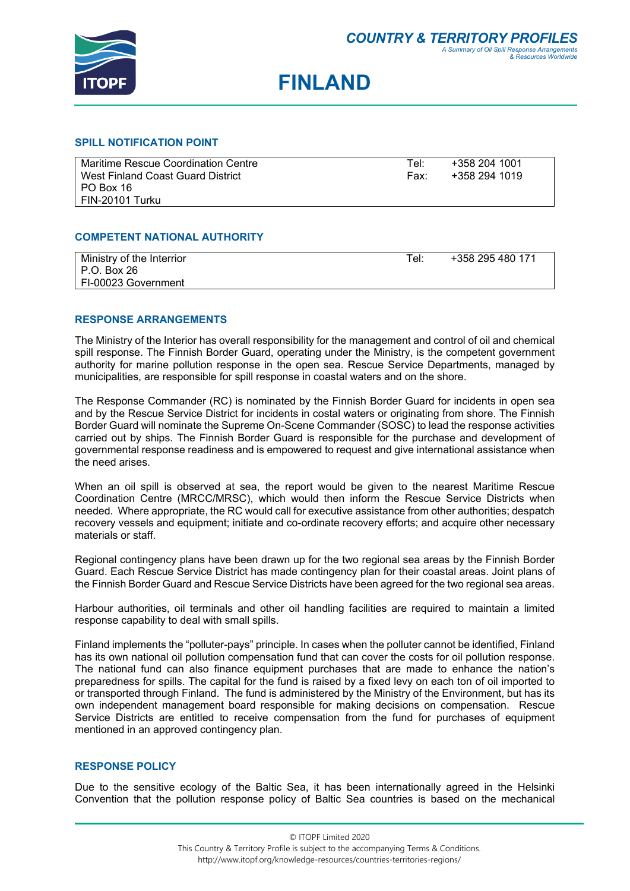

# **FINLAND**

#### **SPILL NOTIFICATION POINT**

| Maritime Rescue Coordination Centre | Tel: | +358 204 1001 |
|-------------------------------------|------|---------------|
| West Finland Coast Guard District   | Fax: | +358 294 1019 |
| PO Box 16                           |      |               |
| FIN-20101 Turku                     |      |               |
|                                     |      |               |

## **COMPETENT NATIONAL AUTHORITY**

| Ministry of the Interrior | Tel:⊣ | +358 295 480 171 |
|---------------------------|-------|------------------|
| P.O. Box 26               |       |                  |
| FI-00023 Government       |       |                  |

#### **RESPONSE ARRANGEMENTS**

The Ministry of the Interior has overall responsibility for the management and control of oil and chemical spill response. The Finnish Border Guard, operating under the Ministry, is the competent government authority for marine pollution response in the open sea. Rescue Service Departments, managed by municipalities, are responsible for spill response in coastal waters and on the shore.

The Response Commander (RC) is nominated by the Finnish Border Guard for incidents in open sea and by the Rescue Service District for incidents in costal waters or originating from shore. The Finnish Border Guard will nominate the Supreme On-Scene Commander (SOSC) to lead the response activities carried out by ships. The Finnish Border Guard is responsible for the purchase and development of governmental response readiness and is empowered to request and give international assistance when the need arises.

When an oil spill is observed at sea, the report would be given to the nearest Maritime Rescue Coordination Centre (MRCC/MRSC), which would then inform the Rescue Service Districts when needed. Where appropriate, the RC would call for executive assistance from other authorities; despatch recovery vessels and equipment; initiate and co-ordinate recovery efforts; and acquire other necessary materials or staff.

Regional contingency plans have been drawn up for the two regional sea areas by the Finnish Border Guard. Each Rescue Service District has made contingency plan for their coastal areas. Joint plans of the Finnish Border Guard and Rescue Service Districts have been agreed for the two regional sea areas.

Harbour authorities, oil terminals and other oil handling facilities are required to maintain a limited response capability to deal with small spills.

Finland implements the "polluter-pays" principle. In cases when the polluter cannot be identified, Finland has its own national oil pollution compensation fund that can cover the costs for oil pollution response. The national fund can also finance equipment purchases that are made to enhance the nation's preparedness for spills. The capital for the fund is raised by a fixed levy on each ton of oil imported to or transported through Finland. The fund is administered by the Ministry of the Environment, but has its own independent management board responsible for making decisions on compensation. Rescue Service Districts are entitled to receive compensation from the fund for purchases of equipment mentioned in an approved contingency plan.

## **RESPONSE POLICY**

Due to the sensitive ecology of the Baltic Sea, it has been internationally agreed in the Helsinki Convention that the pollution response policy of Baltic Sea countries is based on the mechanical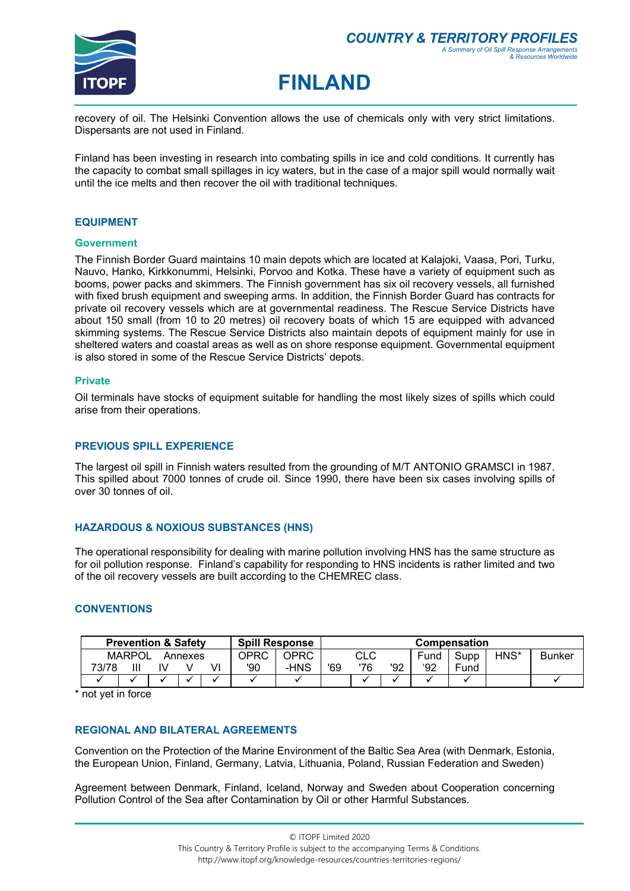

## **FINLAND**

recovery of oil. The Helsinki Convention allows the use of chemicals only with very strict limitations. Dispersants are not used in Finland.

Finland has been investing in research into combating spills in ice and cold conditions. It currently has the capacity to combat small spillages in icy waters, but in the case of a major spill would normally wait until the ice melts and then recover the oil with traditional techniques.

#### **EQUIPMENT**

#### **Government**

The Finnish Border Guard maintains 10 main depots which are located at Kalajoki, Vaasa, Pori, Turku, Nauvo, Hanko, Kirkkonummi, Helsinki, Porvoo and Kotka. These have a variety of equipment such as booms, power packs and skimmers. The Finnish government has six oil recovery vessels, all furnished with fixed brush equipment and sweeping arms. In addition, the Finnish Border Guard has contracts for private oil recovery vessels which are at governmental readiness. The Rescue Service Districts have about 150 small (from 10 to 20 metres) oil recovery boats of which 15 are equipped with advanced skimming systems. The Rescue Service Districts also maintain depots of equipment mainly for use in sheltered waters and coastal areas as well as on shore response equipment. Governmental equipment is also stored in some of the Rescue Service Districts' depots.

#### **Private**

Oil terminals have stocks of equipment suitable for handling the most likely sizes of spills which could arise from their operations.

#### **PREVIOUS SPILL EXPERIENCE**

The largest oil spill in Finnish waters resulted from the grounding of M/T ANTONIO GRAMSCI in 1987. This spilled about 7000 tonnes of crude oil. Since 1990, there have been six cases involving spills of over 30 tonnes of oil.

#### **HAZARDOUS & NOXIOUS SUBSTANCES (HNS)**

The operational responsibility for dealing with marine pollution involving HNS has the same structure as for oil pollution response. Finland's capability for responding to HNS incidents is rather limited and two of the oil recovery vessels are built according to the CHEMREC class.

#### **CONVENTIONS**

| <b>Spill Response</b><br><b>Prevention &amp; Safety</b> |               |  |         |   | <b>Compensation</b> |      |     |     |     |      |      |      |               |
|---------------------------------------------------------|---------------|--|---------|---|---------------------|------|-----|-----|-----|------|------|------|---------------|
|                                                         | <b>MARPOL</b> |  | Annexes |   | OPRC                | OPRC | CLC |     |     | Fund | Supp | HNS* | <b>Bunker</b> |
| 73/78                                                   | Ш             |  |         | V | '90                 | -HNS | '69 | '76 | '92 | '92  | Fund |      |               |
|                                                         |               |  |         |   |                     |      |     |     |     |      |      |      |               |

\* not yet in force

## **REGIONAL AND BILATERAL AGREEMENTS**

Convention on the Protection of the Marine Environment of the Baltic Sea Area (with Denmark, Estonia, the European Union, Finland, Germany, Latvia, Lithuania, Poland, Russian Federation and Sweden)

Agreement between Denmark, Finland, Iceland, Norway and Sweden about Cooperation concerning Pollution Control of the Sea after Contamination by Oil or other Harmful Substances.